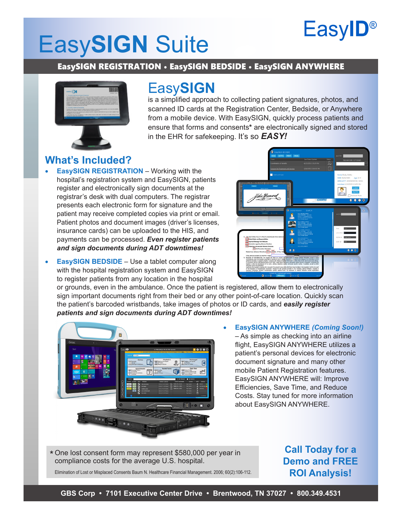## **EasylD®**

# Easy**SIGN** Suite

### EasySIGN REGISTRATION • EasySIGN BEDSIDE • EasySIGN ANYWHERE



### Easy**SIGN**

is a simplified approach to collecting patient signatures, photos, and scanned ID cards at the Registration Center, Bedside, or Anywhere from a mobile device. With EasySIGN, quickly process patients and ensure that forms and consents**\*** are electronically signed and stored in the EHR for safekeeping. It's so *EASY!*

### **What's Included?**

- **EasySIGN REGISTRATION** Working with the hospital's registration system and EasySIGN, patients register and electronically sign documents at the registrar's desk with dual computers. The registrar presents each electronic form for signature and the patient may receive completed copies via print or email. Patient photos and document images (driver's licenses, insurance cards) can be uploaded to the HIS, and payments can be processed. *Even register patients and sign documents during ADT downtimes!*
- 
- **EasySIGN BEDSIDE** Use a tablet computer along with the hospital registration system and EasySIGN to register patients from any location in the hospital

or grounds, even in the ambulance. Once the patient is registered, allow them to electronically sign important documents right from their bed or any other point-of-care location. Quickly scan the patient's barcoded wristbands, take images of photos or ID cards, and *easily register patients and sign documents during ADT downtimes!*



**EasySIGN ANYWHERE** *(Coming Soon!)* – As simple as checking into an airline flight, EasySIGN ANYWHERE utilizes a patient's personal devices for electronic document signature and many other mobile Patient Registration features. EasySIGN ANYWHERE will: Improve Efficiencies, Save Time, and Reduce Costs. Stay tuned for more information about EasySIGN ANYWHERE.

One lost consent form may represent \$580,000 per year in \*compliance costs for the average U.S. hospital.

Elimination of Lost or Misplaced Consents Baum N. Healthcare Financial Management. 2006; 60(2):106-112.

**Call Today for a Demo and FREE ROI Analysis!**